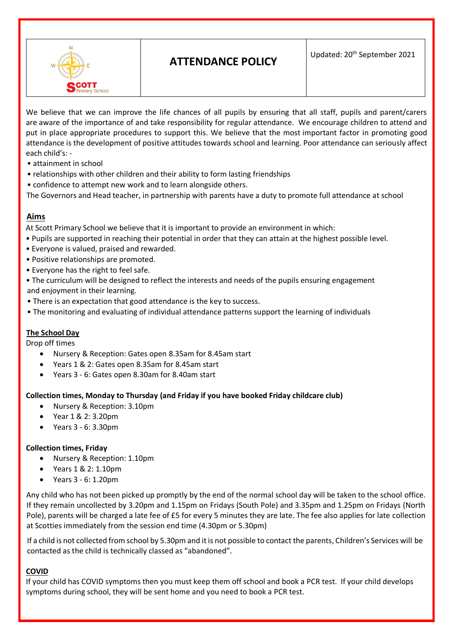

# **ATTENDANCE POLICY**

Updated: 20<sup>th</sup> September 2021

We believe that we can improve the life chances of all pupils by ensuring that all staff, pupils and parent/carers are aware of the importance of and take responsibility for regular attendance. We encourage children to attend and put in place appropriate procedures to support this. We believe that the most important factor in promoting good attendance is the development of positive attitudes towards school and learning. Poor attendance can seriously affect each child's: -

- attainment in school
- relationships with other children and their ability to form lasting friendships
- confidence to attempt new work and to learn alongside others.

The Governors and Head teacher, in partnership with parents have a duty to promote full attendance at school

# **Aims**

At Scott Primary School we believe that it is important to provide an environment in which:

- Pupils are supported in reaching their potential in order that they can attain at the highest possible level.
- Everyone is valued, praised and rewarded.
- Positive relationships are promoted.
- Everyone has the right to feel safe.
- The curriculum will be designed to reflect the interests and needs of the pupils ensuring engagement and enjoyment in their learning.
- There is an expectation that good attendance is the key to success.
- The monitoring and evaluating of individual attendance patterns support the learning of individuals

# **The School Day**

Drop off times

- Nursery & Reception: Gates open 8.35am for 8.45am start
- Years 1 & 2: Gates open 8.35am for 8.45am start
- Years 3 6: Gates open 8.30am for 8.40am start

#### **Collection times, Monday to Thursday (and Friday if you have booked Friday childcare club)**

- Nursery & Reception: 3.10pm
- Year 1 & 2: 3.20pm
- Years 3 6: 3.30pm

#### **Collection times, Friday**

- Nursery & Reception: 1.10pm
- Years 1 & 2: 1.10pm
- Years 3 6: 1.20pm

Any child who has not been picked up promptly by the end of the normal school day will be taken to the school office. If they remain uncollected by 3.20pm and 1.15pm on Fridays (South Pole) and 3.35pm and 1.25pm on Fridays (North Pole), parents will be charged a late fee of £5 for every 5 minutes they are late. The fee also applies for late collection at Scotties immediately from the session end time (4.30pm or 5.30pm)

If a child is not collected from school by 5.30pm and it is not possible to contact the parents, Children's Services will be contacted as the child is technically classed as "abandoned".

# **COVID**

If your child has COVID symptoms then you must keep them off school and book a PCR test. If your child develops symptoms during school, they will be sent home and you need to book a PCR test.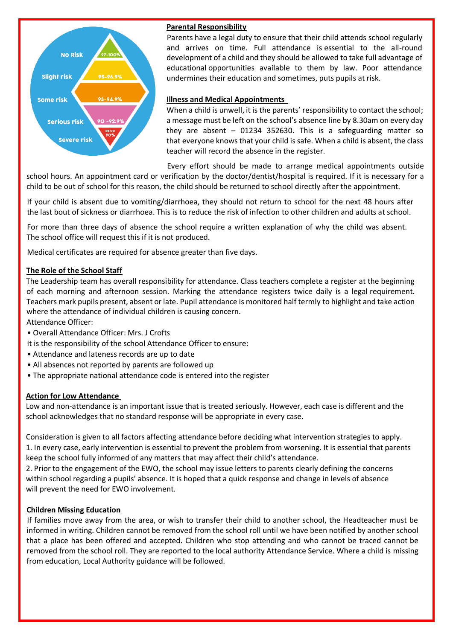

# **Parental Responsibility**

Parents have a legal duty to ensure that their child attends school regularly and arrives on time. Full attendance is essential to the all-round development of a child and they should be allowed to take full advantage of educational opportunities available to them by law. Poor attendance undermines their education and sometimes, puts pupils at risk.

## **Illness and Medical Appointments**

When a child is unwell, it is the parents' responsibility to contact the school; a message must be left on the school's absence line by 8.30am on every day they are absent  $-$  01234 352630. This is a safeguarding matter so that everyone knows that your child is safe. When a child is absent, the class teacher will record the absence in the register.

Every effort should be made to arrange medical appointments outside

school hours. An appointment card or verification by the doctor/dentist/hospital is required. If it is necessary for a child to be out of school for this reason, the child should be returned to school directly after the appointment.

If your child is absent due to vomiting/diarrhoea, they should not return to school for the next 48 hours after the last bout of sickness or diarrhoea. This is to reduce the risk of infection to other children and adults at school.

For more than three days of absence the school require a written explanation of why the child was absent. The school office will request this if it is not produced.

Medical certificates are required for absence greater than five days.

## **The Role of the School Staff**

The Leadership team has overall responsibility for attendance. Class teachers complete a register at the beginning of each morning and afternoon session. Marking the attendance registers twice daily is a legal requirement. Teachers mark pupils present, absent or late. Pupil attendance is monitored half termly to highlight and take action where the attendance of individual children is causing concern.

Attendance Officer:

- Overall Attendance Officer: Mrs. J Crofts
- It is the responsibility of the school Attendance Officer to ensure:
- Attendance and lateness records are up to date
- All absences not reported by parents are followed up
- The appropriate national attendance code is entered into the register

#### **Action for Low Attendance**

Low and non-attendance is an important issue that is treated seriously. However, each case is different and the school acknowledges that no standard response will be appropriate in every case.

Consideration is given to all factors affecting attendance before deciding what intervention strategies to apply. 1. In every case, early intervention is essential to prevent the problem from worsening. It is essential that parents keep the school fully informed of any matters that may affect their child's attendance.

2. Prior to the engagement of the EWO, the school may issue letters to parents clearly defining the concerns within school regarding a pupils' absence. It is hoped that a quick response and change in levels of absence will prevent the need for EWO involvement.

#### **Children Missing Education**

If families move away from the area, or wish to transfer their child to another school, the Headteacher must be informed in writing. Children cannot be removed from the school roll until we have been notified by another school that a place has been offered and accepted. Children who stop attending and who cannot be traced cannot be removed from the school roll. They are reported to the local authority Attendance Service. Where a child is missing from education, Local Authority guidance will be followed.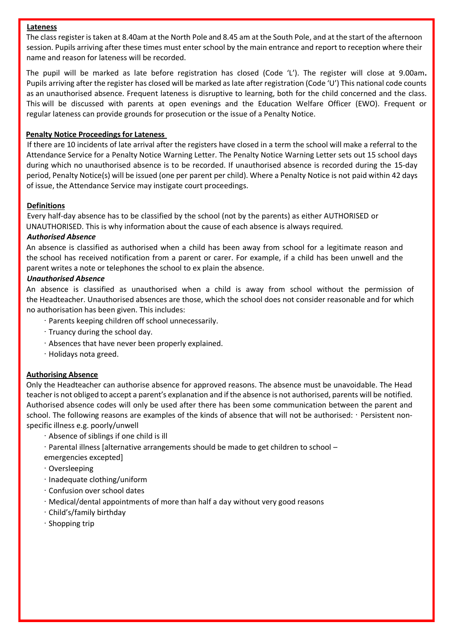#### **Lateness**

The class register is taken at 8.40am at the North Pole and 8.45 am at the South Pole, and at the start of the afternoon session. Pupils arriving after these times must enter school by the main entrance and report to reception where their name and reason for lateness will be recorded.

The pupil will be marked as late before registration has closed (Code 'L'). The register will close at 9.00am**.**  Pupils arriving after the register has closed will be marked as late after registration (Code 'U') This national code counts as an unauthorised absence. Frequent lateness is disruptive to learning, both for the child concerned and the class. This will be discussed with parents at open evenings and the Education Welfare Officer (EWO). Frequent or regular lateness can provide grounds for prosecution or the issue of a Penalty Notice.

#### **Penalty Notice Proceedings for Lateness**

If there are 10 incidents of late arrival after the registers have closed in a term the school will make a referral to the Attendance Service for a Penalty Notice Warning Letter. The Penalty Notice Warning Letter sets out 15 school days during which no unauthorised absence is to be recorded. If unauthorised absence is recorded during the 15-day period, Penalty Notice(s) will be issued (one per parent per child). Where a Penalty Notice is not paid within 42 days of issue, the Attendance Service may instigate court proceedings.

#### **Definitions**

Every half-day absence has to be classified by the school (not by the parents) as either AUTHORISED or UNAUTHORISED. This is why information about the cause of each absence is always required.

#### *Authorised Absence*

An absence is classified as authorised when a child has been away from school for a legitimate reason and the school has received notification from a parent or carer. For example, if a child has been unwell and the parent writes a note or telephones the school to ex plain the absence.

## *Unauthorised Absence*

An absence is classified as unauthorised when a child is away from school without the permission of the Headteacher. Unauthorised absences are those, which the school does not consider reasonable and for which no authorisation has been given. This includes:

- ∙ Parents keeping children off school unnecessarily.
- ∙ Truancy during the school day.
- ∙ Absences that have never been properly explained.
- ∙ Holidays nota greed.

# **Authorising Absence**

Only the Headteacher can authorise absence for approved reasons. The absence must be unavoidable. The Head teacher is not obliged to accept a parent's explanation and if the absence is not authorised, parents will be notified. Authorised absence codes will only be used after there has been some communication between the parent and school. The following reasons are examples of the kinds of absence that will not be authorised: ∙ Persistent nonspecific illness e.g. poorly/unwell

- ∙ Absence of siblings if one child is ill
- ∙ Parental illness [alternative arrangements should be made to get children to school emergencies excepted]
- ∙ Oversleeping
- ∙ Inadequate clothing/uniform
- ∙ Confusion over school dates
- ∙ Medical/dental appointments of more than half a day without very good reasons
- ∙ Child's/family birthday
- ∙ Shopping trip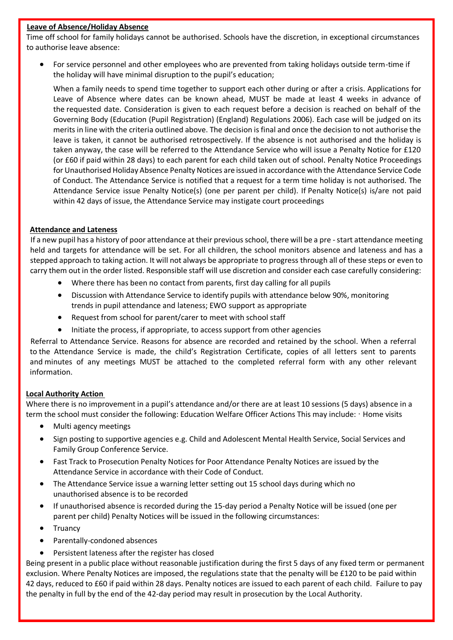## **Leave of Absence/Holiday Absence**

Time off school for family holidays cannot be authorised. Schools have the discretion, in exceptional circumstances to authorise leave absence:

 For service personnel and other employees who are prevented from taking holidays outside term-time if the holiday will have minimal disruption to the pupil's education;

When a family needs to spend time together to support each other during or after a crisis. Applications for Leave of Absence where dates can be known ahead, MUST be made at least 4 weeks in advance of the requested date. Consideration is given to each request before a decision is reached on behalf of the Governing Body (Education (Pupil Registration) (England) Regulations 2006). Each case will be judged on its merits in line with the criteria outlined above. The decision is final and once the decision to not authorise the leave is taken, it cannot be authorised retrospectively. If the absence is not authorised and the holiday is taken anyway, the case will be referred to the Attendance Service who will issue a Penalty Notice for £120 (or £60 if paid within 28 days) to each parent for each child taken out of school. Penalty Notice Proceedings for Unauthorised Holiday Absence Penalty Notices are issued in accordance with the Attendance Service Code of Conduct. The Attendance Service is notified that a request for a term time holiday is not authorised. The Attendance Service issue Penalty Notice(s) (one per parent per child). If Penalty Notice(s) is/are not paid within 42 days of issue, the Attendance Service may instigate court proceedings

#### **Attendance and Lateness**

If a new pupil has a history of poor attendance at their previous school, there will be a pre -start attendance meeting held and targets for attendance will be set. For all children, the school monitors absence and lateness and has a stepped approach to taking action. It will not always be appropriate to progress through all of these steps or even to carry them out in the order listed. Responsible staff will use discretion and consider each case carefully considering:

- Where there has been no contact from parents, first day calling for all pupils
- Discussion with Attendance Service to identify pupils with attendance below 90%, monitoring trends in pupil attendance and lateness; EWO support as appropriate
- Request from school for parent/carer to meet with school staff
- Initiate the process, if appropriate, to access support from other agencies

Referral to Attendance Service. Reasons for absence are recorded and retained by the school. When a referral to the Attendance Service is made, the child's Registration Certificate, copies of all letters sent to parents and minutes of any meetings MUST be attached to the completed referral form with any other relevant information.

#### **Local Authority Action**

Where there is no improvement in a pupil's attendance and/or there are at least 10 sessions (5 days) absence in a term the school must consider the following: Education Welfare Officer Actions This may include: ∙ Home visits

- Multi agency meetings
- Sign posting to supportive agencies e.g. Child and Adolescent Mental Health Service, Social Services and Family Group Conference Service.
- Fast Track to Prosecution Penalty Notices for Poor Attendance Penalty Notices are issued by the Attendance Service in accordance with their Code of Conduct.
- The Attendance Service issue a warning letter setting out 15 school days during which no unauthorised absence is to be recorded
- If unauthorised absence is recorded during the 15-day period a Penalty Notice will be issued (one per parent per child) Penalty Notices will be issued in the following circumstances:
- **Truancy**
- Parentally-condoned absences
- Persistent lateness after the register has closed

Being present in a public place without reasonable justification during the first 5 days of any fixed term or permanent exclusion. Where Penalty Notices are imposed, the regulations state that the penalty will be £120 to be paid within 42 days, reduced to £60 if paid within 28 days. Penalty notices are issued to each parent of each child. Failure to pay the penalty in full by the end of the 42-day period may result in prosecution by the Local Authority.